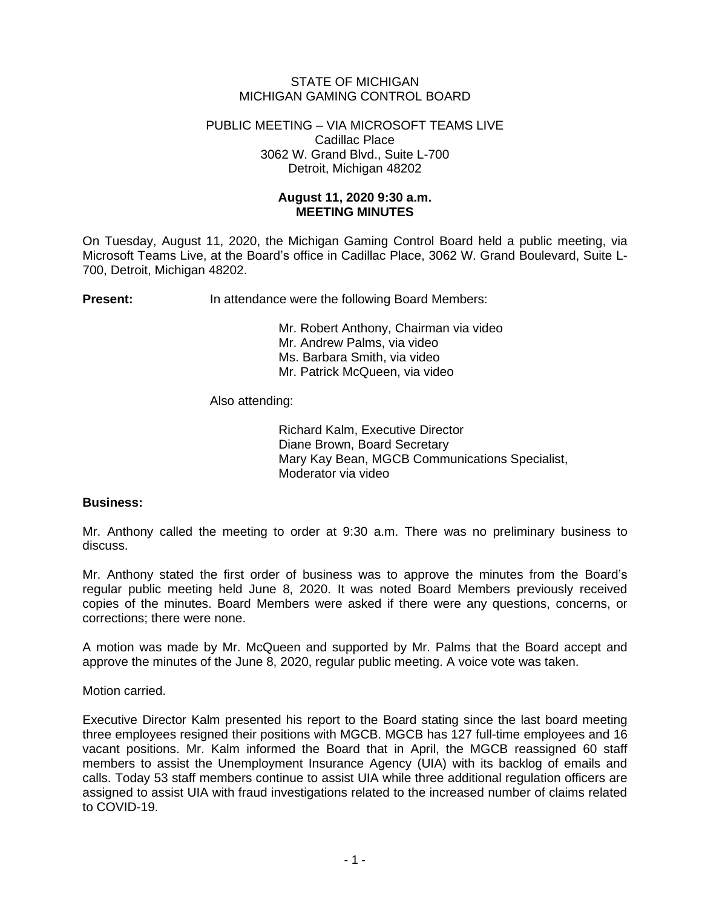# STATE OF MICHIGAN MICHIGAN GAMING CONTROL BOARD

#### PUBLIC MEETING – VIA MICROSOFT TEAMS LIVE Cadillac Place 3062 W. Grand Blvd., Suite L-700 Detroit, Michigan 48202

# **August 11, 2020 9:30 a.m. MEETING MINUTES**

On Tuesday, August 11, 2020, the Michigan Gaming Control Board held a public meeting, via Microsoft Teams Live, at the Board's office in Cadillac Place, 3062 W. Grand Boulevard, Suite L-700, Detroit, Michigan 48202.

**Present:** In attendance were the following Board Members:

Mr. Robert Anthony, Chairman via video Mr. Andrew Palms, via video Ms. Barbara Smith, via video Mr. Patrick McQueen, via video

Also attending:

Richard Kalm, Executive Director Diane Brown, Board Secretary Mary Kay Bean, MGCB Communications Specialist, Moderator via video

### **Business:**

Mr. Anthony called the meeting to order at 9:30 a.m. There was no preliminary business to discuss.

Mr. Anthony stated the first order of business was to approve the minutes from the Board's regular public meeting held June 8, 2020. It was noted Board Members previously received copies of the minutes. Board Members were asked if there were any questions, concerns, or corrections; there were none.

A motion was made by Mr. McQueen and supported by Mr. Palms that the Board accept and approve the minutes of the June 8, 2020, regular public meeting. A voice vote was taken.

Motion carried.

Executive Director Kalm presented his report to the Board stating since the last board meeting three employees resigned their positions with MGCB. MGCB has 127 full-time employees and 16 vacant positions. Mr. Kalm informed the Board that in April, the MGCB reassigned 60 staff members to assist the Unemployment Insurance Agency (UIA) with its backlog of emails and calls. Today 53 staff members continue to assist UIA while three additional regulation officers are assigned to assist UIA with fraud investigations related to the increased number of claims related to COVID-19.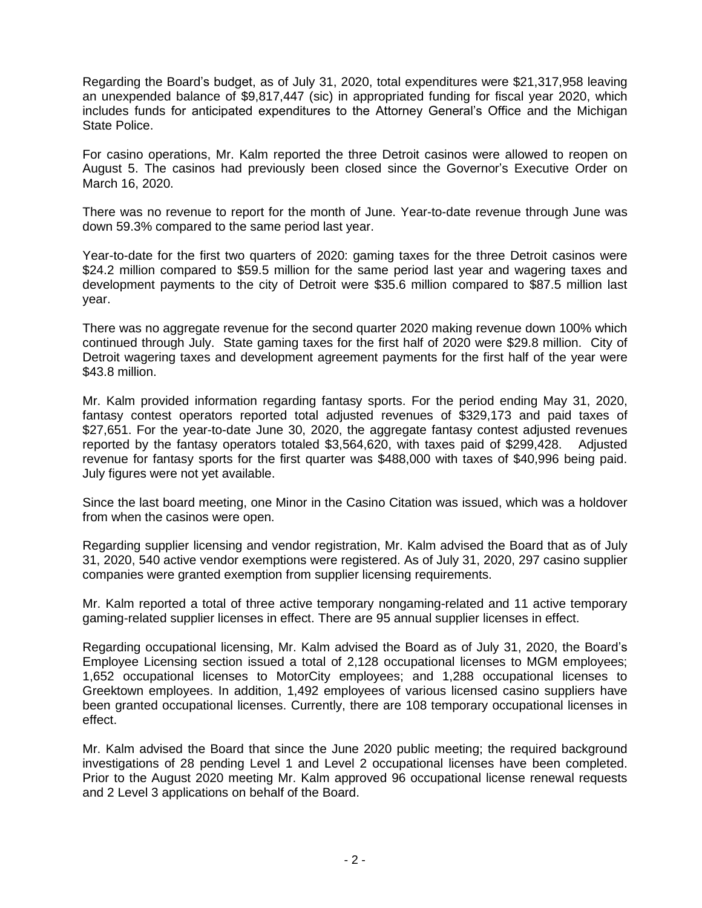Regarding the Board's budget, as of July 31, 2020, total expenditures were \$21,317,958 leaving an unexpended balance of \$9,817,447 (sic) in appropriated funding for fiscal year 2020, which includes funds for anticipated expenditures to the Attorney General's Office and the Michigan State Police.

For casino operations, Mr. Kalm reported the three Detroit casinos were allowed to reopen on August 5. The casinos had previously been closed since the Governor's Executive Order on March 16, 2020.

There was no revenue to report for the month of June. Year-to-date revenue through June was down 59.3% compared to the same period last year.

Year-to-date for the first two quarters of 2020: gaming taxes for the three Detroit casinos were \$24.2 million compared to \$59.5 million for the same period last year and wagering taxes and development payments to the city of Detroit were \$35.6 million compared to \$87.5 million last year.

There was no aggregate revenue for the second quarter 2020 making revenue down 100% which continued through July. State gaming taxes for the first half of 2020 were \$29.8 million. City of Detroit wagering taxes and development agreement payments for the first half of the year were \$43.8 million.

Mr. Kalm provided information regarding fantasy sports. For the period ending May 31, 2020, fantasy contest operators reported total adjusted revenues of \$329,173 and paid taxes of \$27,651. For the year-to-date June 30, 2020, the aggregate fantasy contest adjusted revenues reported by the fantasy operators totaled \$3,564,620, with taxes paid of \$299,428. Adjusted revenue for fantasy sports for the first quarter was \$488,000 with taxes of \$40,996 being paid. July figures were not yet available.

Since the last board meeting, one Minor in the Casino Citation was issued, which was a holdover from when the casinos were open.

Regarding supplier licensing and vendor registration, Mr. Kalm advised the Board that as of July 31, 2020, 540 active vendor exemptions were registered. As of July 31, 2020, 297 casino supplier companies were granted exemption from supplier licensing requirements.

Mr. Kalm reported a total of three active temporary nongaming-related and 11 active temporary gaming-related supplier licenses in effect. There are 95 annual supplier licenses in effect.

Regarding occupational licensing, Mr. Kalm advised the Board as of July 31, 2020, the Board's Employee Licensing section issued a total of 2,128 occupational licenses to MGM employees; 1,652 occupational licenses to MotorCity employees; and 1,288 occupational licenses to Greektown employees. In addition, 1,492 employees of various licensed casino suppliers have been granted occupational licenses. Currently, there are 108 temporary occupational licenses in effect.

Mr. Kalm advised the Board that since the June 2020 public meeting; the required background investigations of 28 pending Level 1 and Level 2 occupational licenses have been completed. Prior to the August 2020 meeting Mr. Kalm approved 96 occupational license renewal requests and 2 Level 3 applications on behalf of the Board.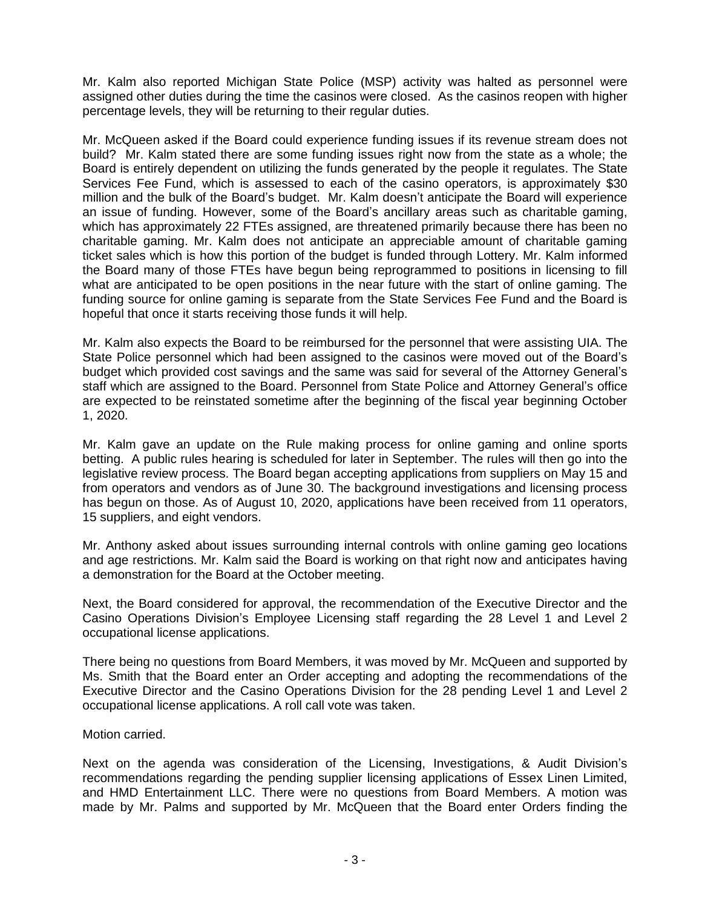Mr. Kalm also reported Michigan State Police (MSP) activity was halted as personnel were assigned other duties during the time the casinos were closed. As the casinos reopen with higher percentage levels, they will be returning to their regular duties.

Mr. McQueen asked if the Board could experience funding issues if its revenue stream does not build? Mr. Kalm stated there are some funding issues right now from the state as a whole; the Board is entirely dependent on utilizing the funds generated by the people it regulates. The State Services Fee Fund, which is assessed to each of the casino operators, is approximately \$30 million and the bulk of the Board's budget. Mr. Kalm doesn't anticipate the Board will experience an issue of funding. However, some of the Board's ancillary areas such as charitable gaming, which has approximately 22 FTEs assigned, are threatened primarily because there has been no charitable gaming. Mr. Kalm does not anticipate an appreciable amount of charitable gaming ticket sales which is how this portion of the budget is funded through Lottery. Mr. Kalm informed the Board many of those FTEs have begun being reprogrammed to positions in licensing to fill what are anticipated to be open positions in the near future with the start of online gaming. The funding source for online gaming is separate from the State Services Fee Fund and the Board is hopeful that once it starts receiving those funds it will help.

Mr. Kalm also expects the Board to be reimbursed for the personnel that were assisting UIA. The State Police personnel which had been assigned to the casinos were moved out of the Board's budget which provided cost savings and the same was said for several of the Attorney General's staff which are assigned to the Board. Personnel from State Police and Attorney General's office are expected to be reinstated sometime after the beginning of the fiscal year beginning October 1, 2020.

Mr. Kalm gave an update on the Rule making process for online gaming and online sports betting. A public rules hearing is scheduled for later in September. The rules will then go into the legislative review process. The Board began accepting applications from suppliers on May 15 and from operators and vendors as of June 30. The background investigations and licensing process has begun on those. As of August 10, 2020, applications have been received from 11 operators, 15 suppliers, and eight vendors.

Mr. Anthony asked about issues surrounding internal controls with online gaming geo locations and age restrictions. Mr. Kalm said the Board is working on that right now and anticipates having a demonstration for the Board at the October meeting.

Next, the Board considered for approval, the recommendation of the Executive Director and the Casino Operations Division's Employee Licensing staff regarding the 28 Level 1 and Level 2 occupational license applications.

There being no questions from Board Members, it was moved by Mr. McQueen and supported by Ms. Smith that the Board enter an Order accepting and adopting the recommendations of the Executive Director and the Casino Operations Division for the 28 pending Level 1 and Level 2 occupational license applications. A roll call vote was taken.

### Motion carried.

Next on the agenda was consideration of the Licensing, Investigations, & Audit Division's recommendations regarding the pending supplier licensing applications of Essex Linen Limited, and HMD Entertainment LLC. There were no questions from Board Members. A motion was made by Mr. Palms and supported by Mr. McQueen that the Board enter Orders finding the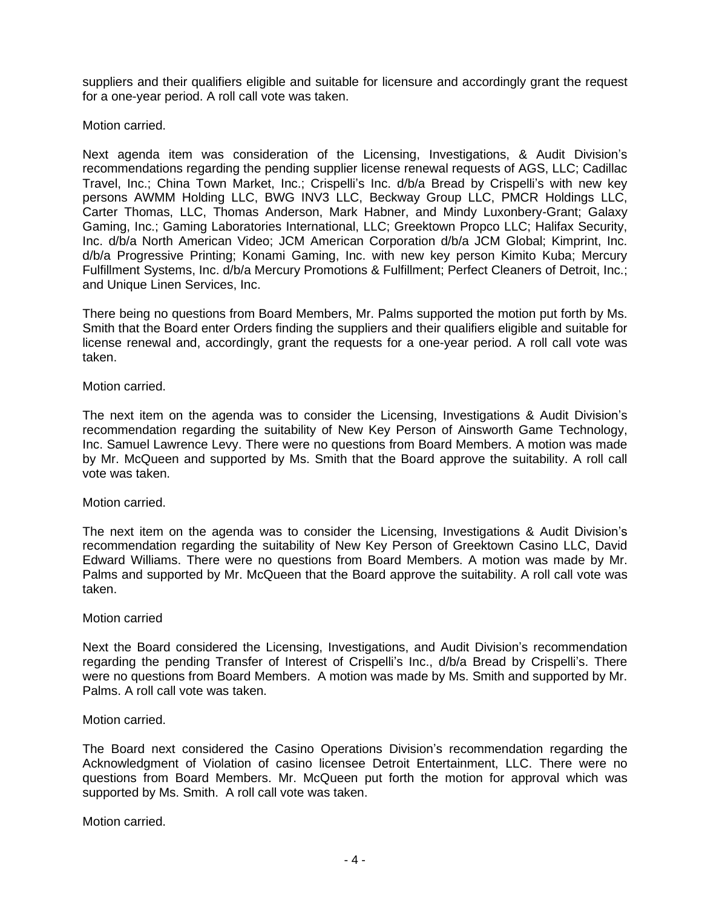suppliers and their qualifiers eligible and suitable for licensure and accordingly grant the request for a one-year period. A roll call vote was taken.

Motion carried.

Next agenda item was consideration of the Licensing, Investigations, & Audit Division's recommendations regarding the pending supplier license renewal requests of AGS, LLC; Cadillac Travel, Inc.; China Town Market, Inc.; Crispelli's Inc. d/b/a Bread by Crispelli's with new key persons AWMM Holding LLC, BWG INV3 LLC, Beckway Group LLC, PMCR Holdings LLC, Carter Thomas, LLC, Thomas Anderson, Mark Habner, and Mindy Luxonbery-Grant; Galaxy Gaming, Inc.; Gaming Laboratories International, LLC; Greektown Propco LLC; Halifax Security, Inc. d/b/a North American Video; JCM American Corporation d/b/a JCM Global; Kimprint, Inc. d/b/a Progressive Printing; Konami Gaming, Inc. with new key person Kimito Kuba; Mercury Fulfillment Systems, Inc. d/b/a Mercury Promotions & Fulfillment; Perfect Cleaners of Detroit, Inc.; and Unique Linen Services, Inc.

There being no questions from Board Members, Mr. Palms supported the motion put forth by Ms. Smith that the Board enter Orders finding the suppliers and their qualifiers eligible and suitable for license renewal and, accordingly, grant the requests for a one-year period. A roll call vote was taken.

Motion carried.

The next item on the agenda was to consider the Licensing, Investigations & Audit Division's recommendation regarding the suitability of New Key Person of Ainsworth Game Technology, Inc. Samuel Lawrence Levy. There were no questions from Board Members. A motion was made by Mr. McQueen and supported by Ms. Smith that the Board approve the suitability. A roll call vote was taken.

Motion carried.

The next item on the agenda was to consider the Licensing, Investigations & Audit Division's recommendation regarding the suitability of New Key Person of Greektown Casino LLC, David Edward Williams. There were no questions from Board Members. A motion was made by Mr. Palms and supported by Mr. McQueen that the Board approve the suitability. A roll call vote was taken.

Motion carried

Next the Board considered the Licensing, Investigations, and Audit Division's recommendation regarding the pending Transfer of Interest of Crispelli's Inc., d/b/a Bread by Crispelli's. There were no questions from Board Members. A motion was made by Ms. Smith and supported by Mr. Palms. A roll call vote was taken.

Motion carried.

The Board next considered the Casino Operations Division's recommendation regarding the Acknowledgment of Violation of casino licensee Detroit Entertainment, LLC. There were no questions from Board Members. Mr. McQueen put forth the motion for approval which was supported by Ms. Smith. A roll call vote was taken.

Motion carried.